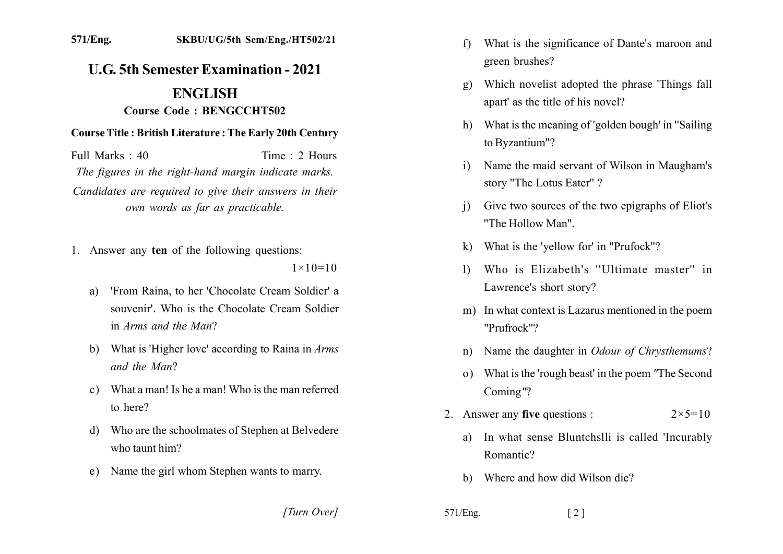## **U.G. 5th Semester Examination - 2021 ENGLISH** Course Code: BENGCCHT502

## **Course Title: British Literature: The Early 20th Century**

Time  $\cdot$  2 Hours Full Marks  $\cdot$  40 The figures in the right-hand margin indicate marks. Candidates are required to give their answers in their own words as far as practicable.

- 1. Answer any ten of the following questions:  $1 \times 10 = 10$ 
	- 'From Raina, to her 'Chocolate Cream Soldier' a a) souvenir' Who is the Chocolate Cream Soldier in *Arms* and the Man?
	- b) What is 'Higher love' according to Raina in  $Arms$ and the Man?
	- c) What a man! Is he a man! Who is the man referred to here?
	- d) Who are the schoolmates of Stephen at Belvedere who taunt him?
	- e) Name the girl whom Stephen wants to marry.

[Turn Over]

- What is the significance of Dante's maroon and  $f$ green brushes?
- Which novelist adopted the phrase 'Things fall  $g)$ apart' as the title of his novel?
- h) What is the meaning of 'golden bough' in "Sailing" to Byzantium"?
- Name the maid servant of Wilson in Maugham's  $\mathbf{i}$ story "The Lotus Eater"?
- Give two sources of the two epigraphs of Eliot's  $\mathbf{i}$ "The Hollow Man"
- k) What is the 'yellow for' in "Prufock"?
- Who is Elizabeth's "Ultimate master" in  $\mathbf{D}$ Lawrence's short story?
- m) In what context is Lazarus mentioned in the poem "Prufrock"?
- n) Name the daughter in *Odour of Chrysthemums*?
- o) What is the 'rough beast' in the poem "The Second" Coming"?
- 2. Answer any five questions :  $2 \times 5 = 10$ 
	- In what sense Bluntchslli is called 'Incurably a) Romantic?
	- b) Where and how did Wilson die?
- $571/Eng.$  $\lceil 2 \rceil$